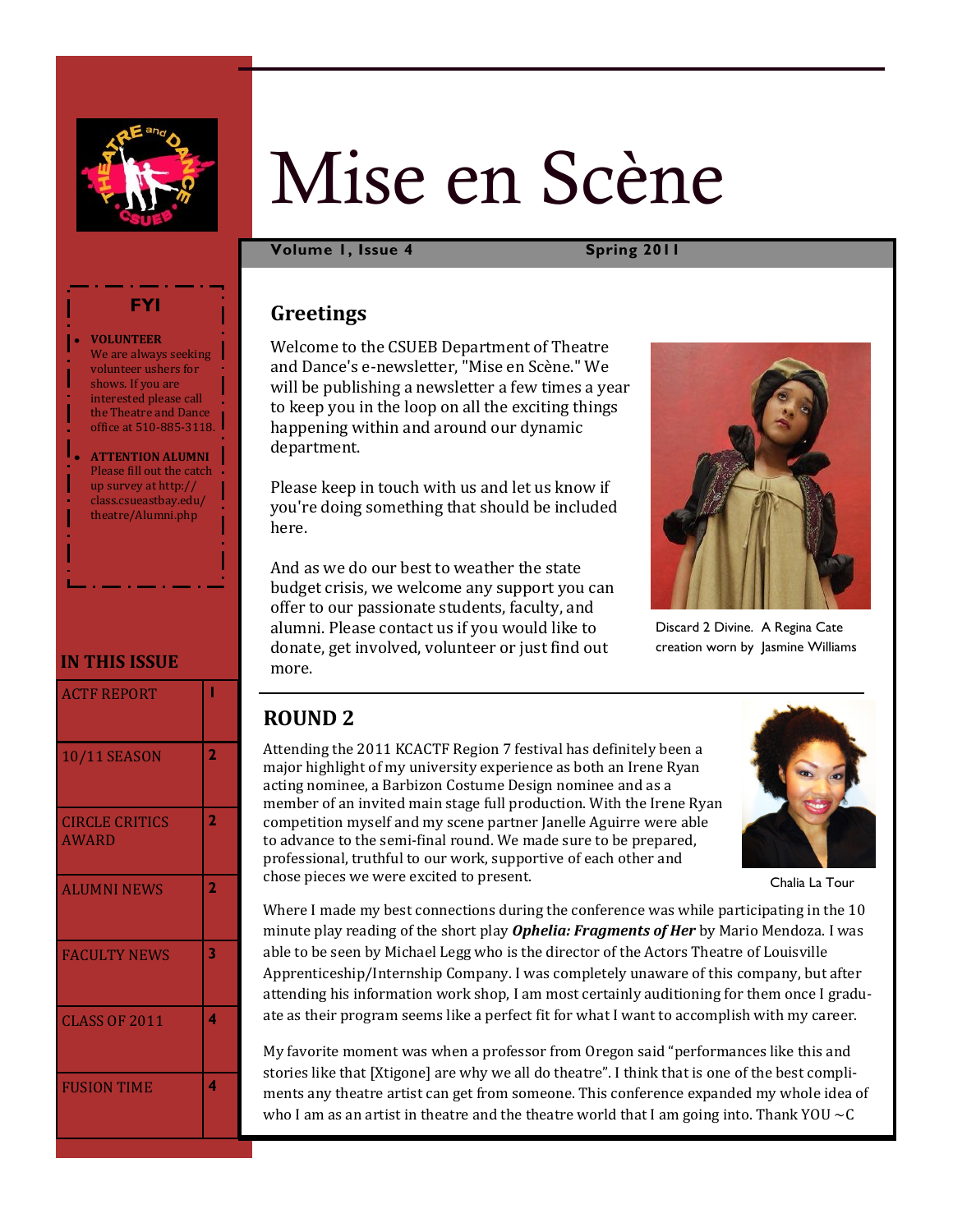

# Mise en Scène

**Volume 1, Issue 4 Spring 2011**

# **Greetings**

Welcome to the CSUEB Department of Theatre and Dance's e-newsletter, "Mise en Scène." We will be publishing a newsletter a few times a year to keep you in the loop on all the exciting things happening within and around our dynamic department.

Please keep in touch with us and let us know if you're doing something that should be included here.

And as we do our best to weather the state budget crisis, we welcome any support you can offer to our passionate students, faculty, and alumni. Please contact us if you would like to donate, get involved, volunteer or just find out more.



Discard 2 Divine. A Regina Cate creation worn by Jasmine Williams

# **ROUND 2**

Attending the 2011 KCACTF Region 7 festival has definitely been a major highlight of my university experience as both an Irene Ryan acting nominee, a Barbizon Costume Design nominee and as a member of an invited main stage full production. With the Irene Ryan competition myself and my scene partner Janelle Aguirre were able to advance to the semi-final round. We made sure to be prepared, professional, truthful to our work, supportive of each other and chose pieces we were excited to present.



Chalia La Tour

Where I made my best connections during the conference was while participating in the 10 minute play reading of the short play *Ophelia: Fragments of Her* by Mario Mendoza. I was able to be seen by Michael Legg who is the director of the Actors Theatre of Louisville Apprenticeship/Internship Company. I was completely unaware of this company, but after attending his information work shop, I am most certainly auditioning for them once I graduate as their program seems like a perfect fit for what I want to accomplish with my career.

My favorite moment was when a professor from Oregon said "performances like this and stories like that [Xtigone] are why we all do theatre". I think that is one of the best compliments any theatre artist can get from someone. This conference expanded my whole idea of who I am as an artist in theatre and the theatre world that I am going into. Thank YOU  $\sim$ C

#### **VOLUNTEER**  We are always seeking volunteer ushers for shows. If you are interested please call the Theatre and Dance office at 510-885-3118.

**FYI**

**ATTENTION ALUMNI**  Please fill out the catch up survey at http:// class.csueastbay.edu/ theatre/Alumni.php

# **IN THIS ISSUE**

| <b>ACTF REPORT</b>                    |                |
|---------------------------------------|----------------|
| <b>10/11 SEASON</b>                   | $\overline{2}$ |
| <b>CIRCLE CRITICS</b><br><b>AWARD</b> | 2              |
| <b>ALUMNI NEWS</b>                    | $\overline{2}$ |
| <b>FACULTY NEWS</b>                   | 3              |
| <b>CLASS OF 2011</b>                  | 4              |
| <b>FUSION TIME</b>                    | 4              |
|                                       |                |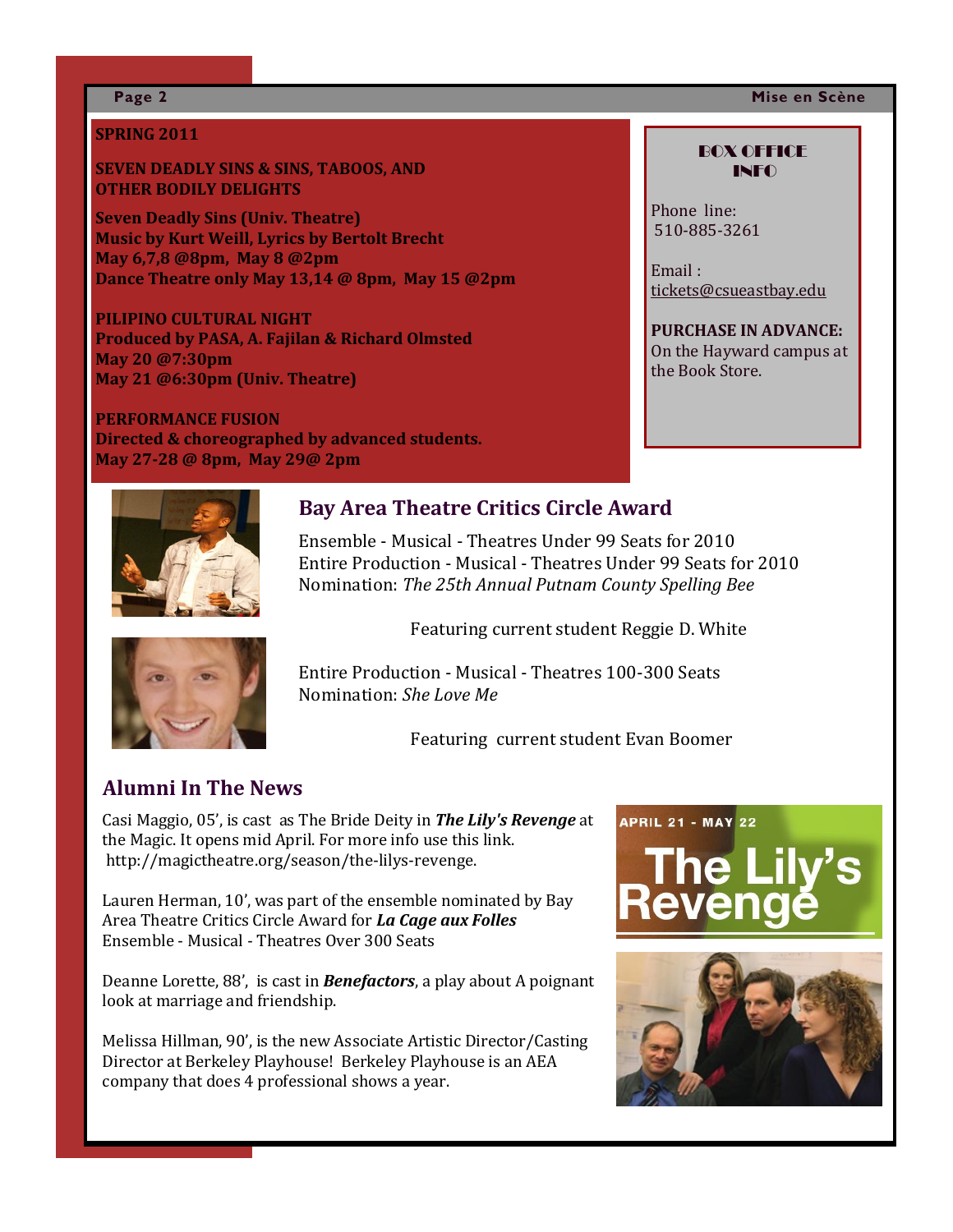## **Page 2 Mise en Scène**

## **SPRING 2011**

## **SEVEN DEADLY SINS & SINS, TABOOS, AND OTHER BODILY DELIGHTS**

**Seven Deadly Sins (Univ. Theatre) Music by Kurt Weill, Lyrics by Bertolt Brecht May 6,7,8 @8pm, May 8 @2pm Dance Theatre only May 13,14 @ 8pm, May 15 @2pm** 

**PILIPINO CULTURAL NIGHT Produced by PASA, A. Fajilan & Richard Olmsted May 20 @7:30pm May 21 @6:30pm (Univ. Theatre)**

**PERFORMANCE FUSION Directed & choreographed by advanced students. May 27-28 @ 8pm, May 29@ 2pm**



# **Bay Area Theatre Critics Circle Award**

Ensemble - Musical - Theatres Under 99 Seats for 2010 Entire Production - Musical - Theatres Under 99 Seats for 2010 Nomination: *The 25th Annual Putnam County Spelling Bee* 

Featuring current student Reggie D. White



Entire Production - Musical - Theatres 100-300 Seats Nomination: *She Love Me*

Featuring current student Evan Boomer

# **Alumni In The News**

Casi Maggio, 05', is cast as The Bride Deity in *The Lily's Revenge* at the Magic. It opens mid April. For more info use this link. http://magictheatre.org/season/the-lilys-revenge.

Lauren Herman, 10', was part of the ensemble nominated by Bay Area Theatre Critics Circle Award for *La Cage aux Folles*  Ensemble - Musical - Theatres Over 300 Seats

Deanne Lorette, 88', is cast in *Benefactors*, a play about A poignant look at marriage and friendship.

Melissa Hillman, 90', is the new Associate Artistic Director/Casting Director at Berkeley Playhouse! Berkeley Playhouse is an AEA company that does 4 professional shows a year.





BOX OFFICE INFO

Phone line: 510-885-3261

Email : [tickets@csueastbay.edu](mailto:tickets@csueastbay.edu)

#### **PURCHASE IN ADVANCE:** On the Hayward campus at the Book Store.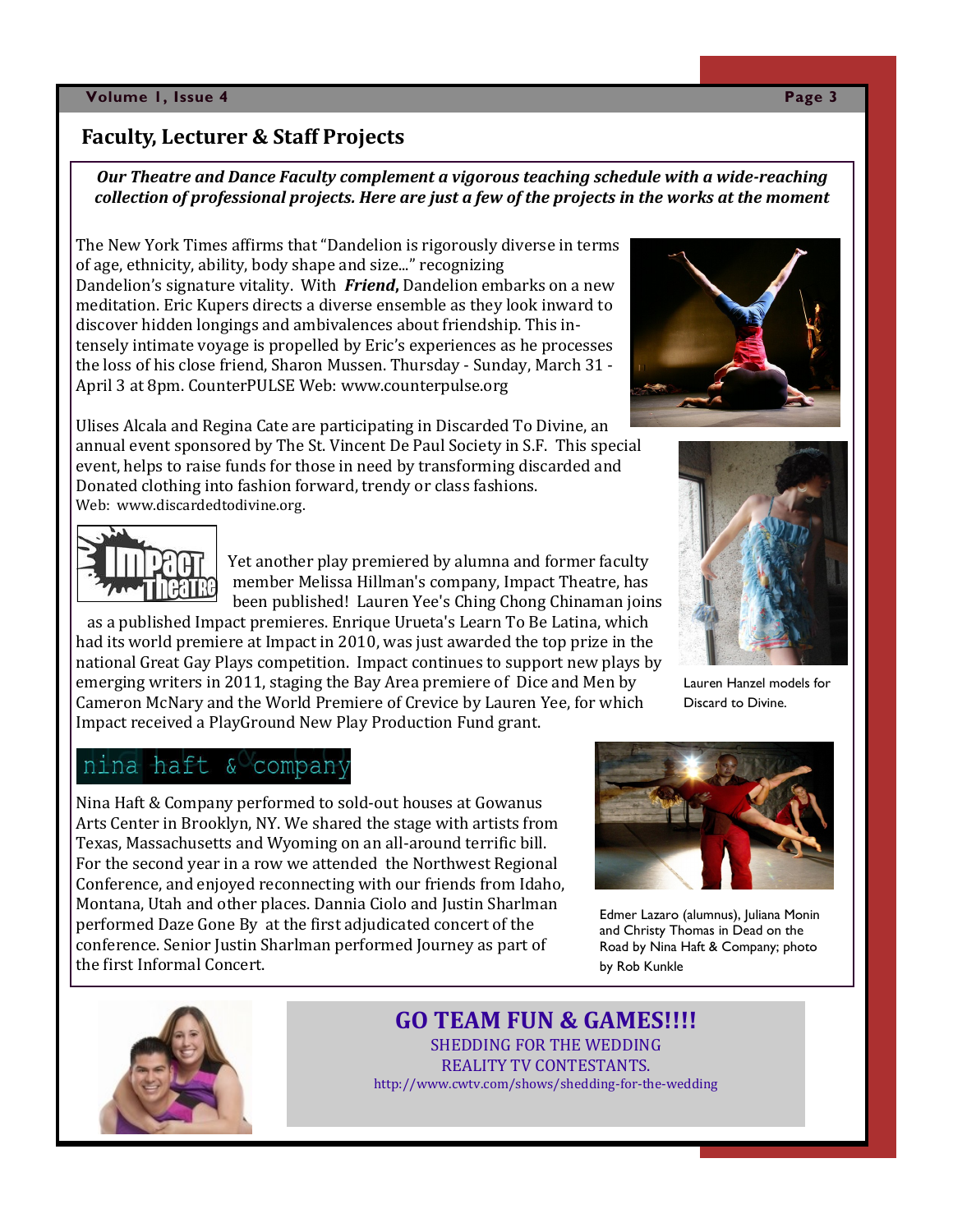## **Volume 1, Issue 4 Page 3**

# **Faculty, Lecturer & Staff Projects**

*Our Theatre and Dance Faculty complement a vigorous teaching schedule with a wide-reaching collection of professional projects. Here are just a few of the projects in the works at the moment*

The New York Times affirms that "Dandelion is rigorously diverse in terms of age, ethnicity, ability, body shape and size..." recognizing Dandelion's signature vitality. With *Friend***,** Dandelion embarks on a new meditation. Eric Kupers directs a diverse ensemble as they look inward to discover hidden longings and ambivalences about friendship. This intensely intimate voyage is propelled by Eric's experiences as he processes the loss of his close friend, Sharon Mussen. Thursday - Sunday, March 31 - April 3 at 8pm. CounterPULSE Web: www.counterpulse.org





 Yet another play premiered by alumna and former faculty member Melissa Hillman's company, Impact Theatre, has been published! Lauren Yee's Ching Chong Chinaman joins

 as a published Impact premieres. Enrique Urueta's Learn To Be Latina, which had its world premiere at Impact in 2010, was just awarded the top prize in the national Great Gay Plays competition. Impact continues to support new plays by emerging writers in 2011, staging the Bay Area premiere of Dice and Men by Cameron McNary and the World Premiere of Crevice by Lauren Yee, for which Impact received a PlayGround New Play Production Fund grant.



Lauren Hanzel models for Discard to Divine.

# nina haft & compan

Nina Haft & Company performed to sold-out houses at Gowanus Arts Center in Brooklyn, NY. We shared the stage with artists from Texas, Massachusetts and Wyoming on an all-around terrific bill. For the second year in a row we attended the Northwest Regional Conference, and enjoyed reconnecting with our friends from Idaho, Montana, Utah and other places. Dannia Ciolo and Justin Sharlman performed Daze Gone By at the first adjudicated concert of the conference. Senior Justin Sharlman performed Journey as part of the first Informal Concert.



Edmer Lazaro (alumnus), Juliana Monin and Christy Thomas in Dead on the Road by Nina Haft & Company; photo by Rob Kunkle



# **GO TEAM FUN & GAMES!!!!** SHEDDING FOR THE WEDDING

REALITY TV CONTESTANTS. http://www.cwtv.com/shows/shedding-for-the-wedding